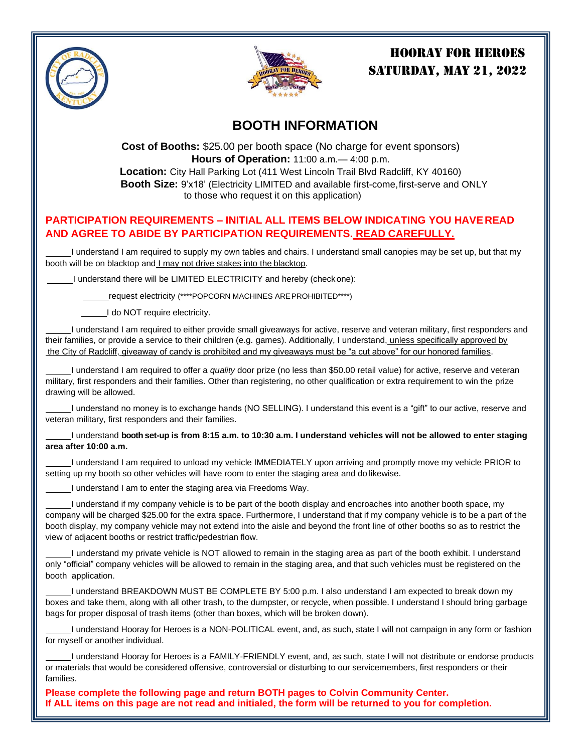



# HOORAY FOR HEROES **SATURDAY, MAY 21, 2022**

# **BOOTH INFORMATION**

**Cost of Booths:** \$25.00 per booth space (No charge for event sponsors) **Hours of Operation:** 11:00 a.m.— 4:00 p.m. **Location:** City Hall Parking Lot (411 West Lincoln Trail Blvd Radcliff, KY 40160) **Booth Size:** 9'x18' (Electricity LIMITED and available first-come, first-serve and ONLY to those who request it on this application)

### **PARTICIPATION REQUIREMENTS – INITIAL ALL ITEMS BELOW INDICATING YOU HAVEREAD AND AGREE TO ABIDE BY PARTICIPATION REQUIREMENTS. READ CAREFULLY.**

I understand I am required to supply my own tables and chairs. I understand small canopies may be set up, but that my booth will be on blacktop and I may not drive stakes into the blacktop.

I understand there will be LIMITED ELECTRICITY and hereby (checkone):

request electricity (\*\*\*\*POPCORN MACHINES AREPROHIBITED\*\*\*\*)

I do NOT require electricity.

I understand I am required to either provide small giveaways for active, reserve and veteran military, first responders and their families, or provide a service to their children (e.g. games). Additionally, I understand, unless specifically approved by the City of Radcliff, giveaway of candy is prohibited and my giveaways must be "a cut above" for our honored families.

I understand I am required to offer a *quality* door prize (no less than \$50.00 retail value) for active, reserve and veteran military, first responders and their families. Other than registering, no other qualification or extra requirement to win the prize drawing will be allowed.

I understand no money is to exchange hands (NO SELLING). I understand this event is a "gift" to our active, reserve and veteran military, first responders and their families.

#### I understand **booth set-up is from 8:15 a.m. to 10:30 a.m. I understand vehicles will not be allowed to enter staging area after 10:00 a.m.**

I understand I am required to unload my vehicle IMMEDIATELY upon arriving and promptly move my vehicle PRIOR to setting up my booth so other vehicles will have room to enter the staging area and do likewise.

I understand I am to enter the staging area via Freedoms Way.

I understand if my company vehicle is to be part of the booth display and encroaches into another booth space, my company will be charged \$25.00 for the extra space. Furthermore, I understand that if my company vehicle is to be a part of the booth display, my company vehicle may not extend into the aisle and beyond the front line of other booths so as to restrict the view of adjacent booths or restrict traffic/pedestrian flow.

I understand my private vehicle is NOT allowed to remain in the staging area as part of the booth exhibit. I understand only "official" company vehicles will be allowed to remain in the staging area, and that such vehicles must be registered on the booth application.

I understand BREAKDOWN MUST BE COMPLETE BY 5:00 p.m. I also understand I am expected to break down my boxes and take them, along with all other trash, to the dumpster, or recycle, when possible. I understand I should bring garbage bags for proper disposal of trash items (other than boxes, which will be broken down).

I understand Hooray for Heroes is a NON-POLITICAL event, and, as such, state I will not campaign in any form or fashion for myself or another individual.

I understand Hooray for Heroes is a FAMILY-FRIENDLY event, and, as such, state I will not distribute or endorse products or materials that would be considered offensive, controversial or disturbing to our servicemembers, first responders or their families.

**Please complete the following page and return BOTH pages to Colvin Community Center. If ALL items on this page are not read and initialed, the form will be returned to you for completion.**